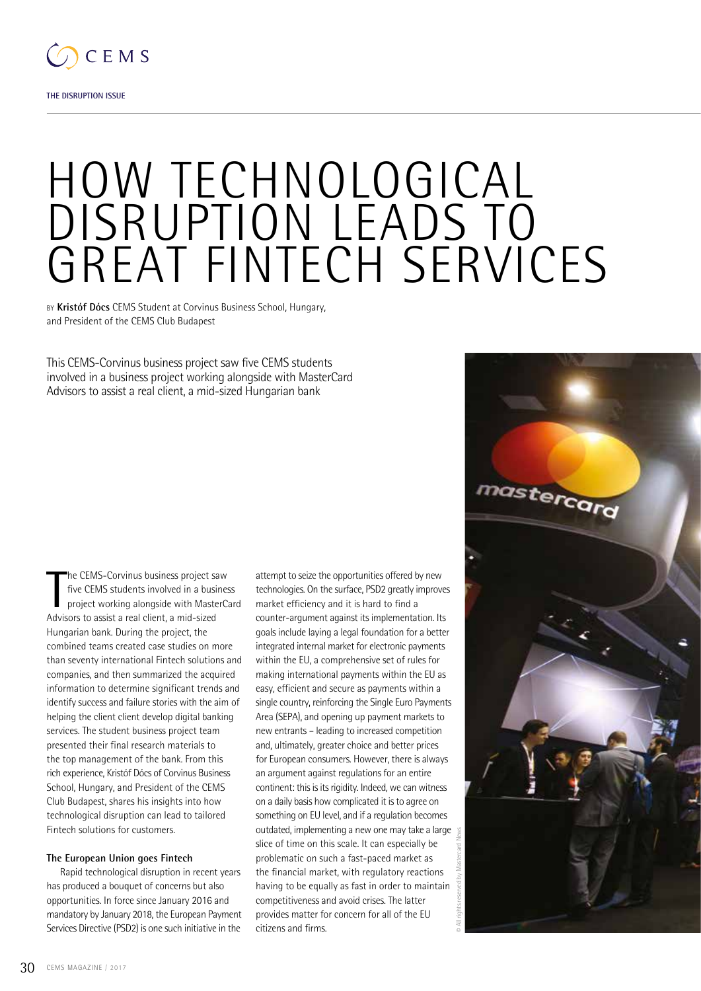

**THE DISRUPTION ISSUE**

# HOW TECHNOLOGICAL DISRUPTION LEADS TO GREAT FINTECH SERVICES

by **Kristóf Dócs** CEMS Student at Corvinus Business School, Hungary, and President of the CEMS Club Budapest

This CEMS-Corvinus business project saw five CEMS students involved in a business project working alongside with MasterCard Advisors to assist a real client, a mid-sized Hungarian bank

The CEMS-Corvinus business project sa<br>five CEMS students involved in a busin<br>project working alongside with Maste<br>Advisors to assist a real client, a mid-sized he CEMS-Corvinus business project saw five CEMS students involved in a business project working alongside with MasterCard Hungarian bank. During the project, the combined teams created case studies on more than seventy international Fintech solutions and companies, and then summarized the acquired information to determine significant trends and identify success and failure stories with the aim of helping the client client develop digital banking services. The student business project team presented their final research materials to the top management of the bank. From this rich experience, Kristóf Dócs of Corvinus Business School, Hungary, and President of the CEMS Club Budapest, shares his insights into how technological disruption can lead to tailored Fintech solutions for customers.

#### **The European Union goes Fintech**

Rapid technological disruption in recent years has produced a bouquet of concerns but also opportunities. In force since January 2016 and mandatory by January 2018, the European Payment Services Directive (PSD2) is one such initiative in the

attempt to seize the opportunities offered by new technologies. On the surface, PSD2 greatly improves market efficiency and it is hard to find a counter-argument against its implementation. Its goals include laying a legal foundation for a better integrated internal market for electronic payments within the EU, a comprehensive set of rules for making international payments within the EU as easy, efficient and secure as payments within a single country, reinforcing the Single Euro Payments Area (SEPA), and opening up payment markets to new entrants – leading to increased competition and, ultimately, greater choice and better prices for European consumers. However, there is always an argument against regulations for an entire continent: this is its rigidity. Indeed, we can witness on a daily basis how complicated it is to agree on something on EU level, and if a regulation becomes outdated, implementing a new one may take a large slice of time on this scale. It can especially be problematic on such a fast-paced market as the financial market, with regulatory reactions having to be equally as fast in order to maintain competitiveness and avoid crises. The latter provides matter for concern for all of the EU citizens and firms.

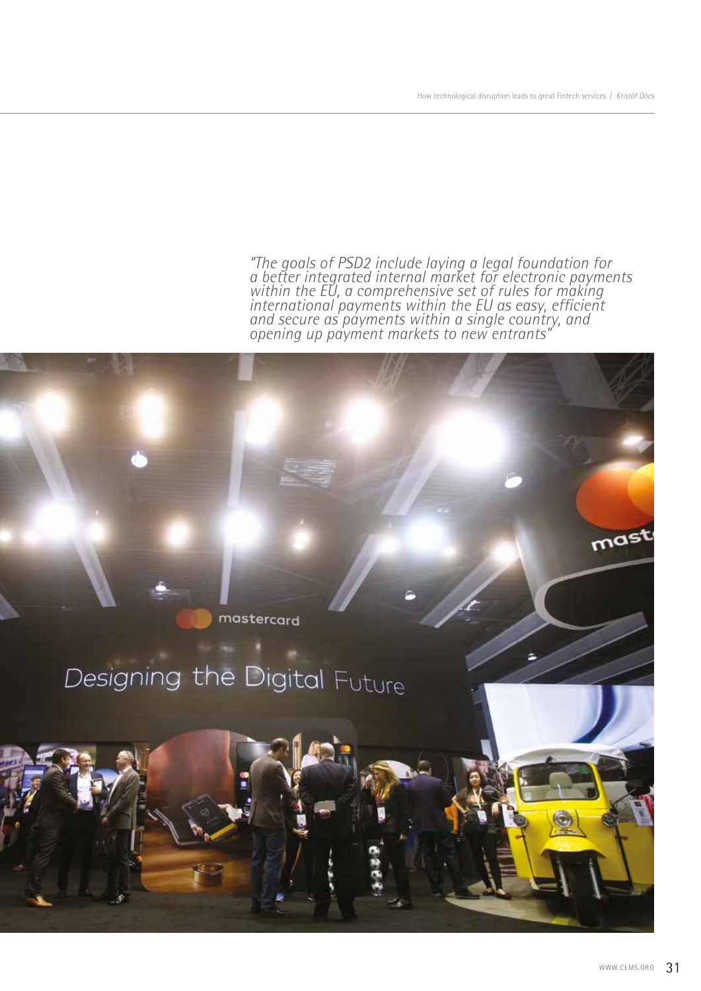*"The goals of PSD2 include laying a legal foundation for a better integrated internal market for electronic payments*  within the EU, a comprehensive set of rules for making *international payments within the EU as easy, efficient and secure as payments within a single country, and opening up payment markets to new entrants"*

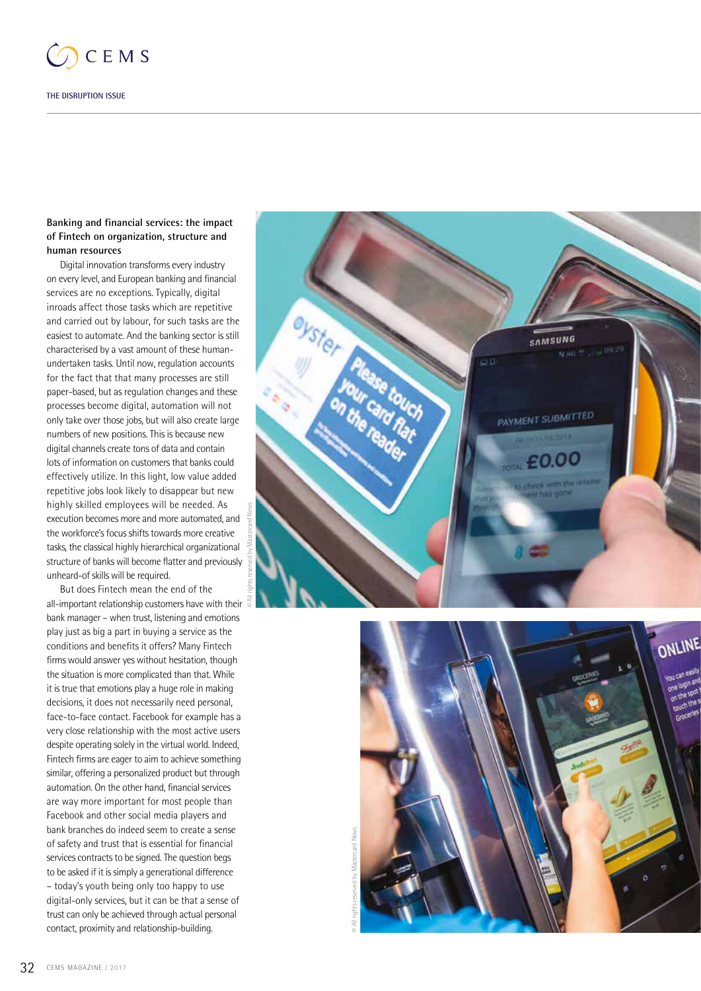

## **Banking and financial services: the impact of Fintech on organization, structure and human resources**

Digital innovation transforms every industry on every level, and European banking and financial services are no exceptions. Typically, digital inroads affect those tasks which are repetitive and carried out by labour, for such tasks are the easiest to automate. And the banking sector is still characterised by a vast amount of these humanundertaken tasks. Until now, regulation accounts for the fact that that many processes are still paper-based, but as regulation changes and these processes become digital, automation will not only take over those jobs, but will also create large numbers of new positions. This is because new digital channels create tons of data and contain lots of information on customers that banks could effectively utilize. In this light, low value added repetitive jobs look likely to disappear but new highly skilled employees will be needed. As execution becomes more and more automated, and the workforce's focus shifts towards more creative tasks, the classical highly hierarchical organizational structure of banks will become flatter and previously unheard-of skills will be required.

But does Fintech mean the end of the all-important relationship customers have with their bank manager – when trust, listening and emotions play just as big a part in buying a service as the conditions and benefits it offers? Many Fintech firms would answer yes without hesitation, though the situation is more complicated than that. While it is true that emotions play a huge role in making decisions, it does not necessarily need personal, face-to-face contact. Facebook for example has a very close relationship with the most active users despite operating solely in the virtual world. Indeed, Fintech firms are eager to aim to achieve something similar, offering a personalized product but through automation. On the other hand, financial services are way more important for most people than Facebook and other social media players and bank branches do indeed seem to create a sense of safety and trust that is essential for financial services contracts to be signed. The question begs to be asked if it is simply a generational difference – today's youth being only too happy to use digital-only services, but it can be that a sense of trust can only be achieved through actual personal contact, proximity and relationship-building.